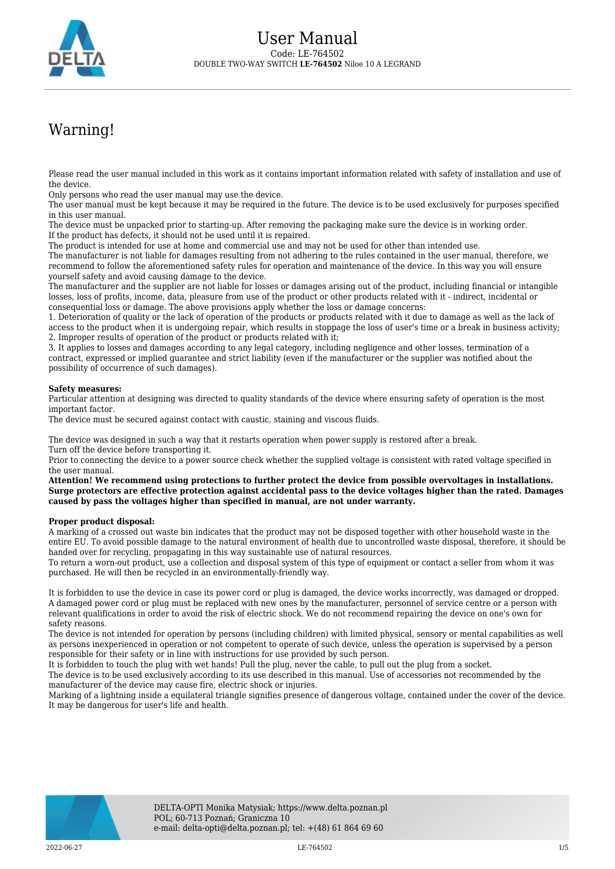

## Warning!

Please read the user manual included in this work as it contains important information related with safety of installation and use of the device.

Only persons who read the user manual may use the device.

The user manual must be kept because it may be required in the future. The device is to be used exclusively for purposes specified in this user manual.

The device must be unpacked prior to starting-up. After removing the packaging make sure the device is in working order. If the product has defects, it should not be used until it is repaired.

The product is intended for use at home and commercial use and may not be used for other than intended use.

The manufacturer is not liable for damages resulting from not adhering to the rules contained in the user manual, therefore, we recommend to follow the aforementioned safety rules for operation and maintenance of the device. In this way you will ensure yourself safety and avoid causing damage to the device.

The manufacturer and the supplier are not liable for losses or damages arising out of the product, including financial or intangible losses, loss of profits, income, data, pleasure from use of the product or other products related with it - indirect, incidental or consequential loss or damage. The above provisions apply whether the loss or damage concerns:

1. Deterioration of quality or the lack of operation of the products or products related with it due to damage as well as the lack of access to the product when it is undergoing repair, which results in stoppage the loss of user's time or a break in business activity; 2. Improper results of operation of the product or products related with it;

3. It applies to losses and damages according to any legal category, including negligence and other losses, termination of a contract, expressed or implied guarantee and strict liability (even if the manufacturer or the supplier was notified about the possibility of occurrence of such damages).

## **Safety measures:**

Particular attention at designing was directed to quality standards of the device where ensuring safety of operation is the most important factor.

The device must be secured against contact with caustic, staining and viscous fluids.

The device was designed in such a way that it restarts operation when power supply is restored after a break. Turn off the device before transporting it.

Prior to connecting the device to a power source check whether the supplied voltage is consistent with rated voltage specified in the user manual.

**Attention! We recommend using protections to further protect the device from possible overvoltages in installations. Surge protectors are effective protection against accidental pass to the device voltages higher than the rated. Damages caused by pass the voltages higher than specified in manual, are not under warranty.**

## **Proper product disposal:**

A marking of a crossed out waste bin indicates that the product may not be disposed together with other household waste in the entire EU. To avoid possible damage to the natural environment of health due to uncontrolled waste disposal, therefore, it should be handed over for recycling, propagating in this way sustainable use of natural resources.

To return a worn-out product, use a collection and disposal system of this type of equipment or contact a seller from whom it was purchased. He will then be recycled in an environmentally-friendly way.

It is forbidden to use the device in case its power cord or plug is damaged, the device works incorrectly, was damaged or dropped. A damaged power cord or plug must be replaced with new ones by the manufacturer, personnel of service centre or a person with relevant qualifications in order to avoid the risk of electric shock. We do not recommend repairing the device on one's own for safety reasons.

The device is not intended for operation by persons (including children) with limited physical, sensory or mental capabilities as well as persons inexperienced in operation or not competent to operate of such device, unless the operation is supervised by a person responsible for their safety or in line with instructions for use provided by such person.

It is forbidden to touch the plug with wet hands! Pull the plug, never the cable, to pull out the plug from a socket.

The device is to be used exclusively according to its use described in this manual. Use of accessories not recommended by the manufacturer of the device may cause fire, electric shock or injuries.

Marking of a lightning inside a equilateral triangle signifies presence of dangerous voltage, contained under the cover of the device. It may be dangerous for user's life and health.

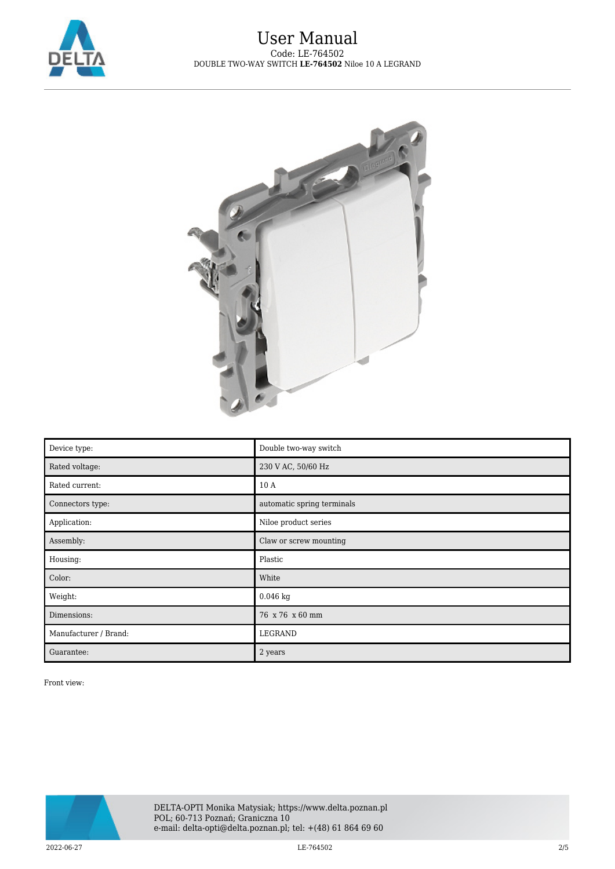



| Device type:          | Double two-way switch      |
|-----------------------|----------------------------|
| Rated voltage:        | 230 V AC, 50/60 Hz         |
| Rated current:        | 10A                        |
| Connectors type:      | automatic spring terminals |
| Application:          | Niloe product series       |
| Assembly:             | Claw or screw mounting     |
| Housing:              | Plastic                    |
| Color:                | White                      |
| Weight:               | $0.046$ kg                 |
| Dimensions:           | 76 x 76 x 60 mm            |
| Manufacturer / Brand: | LEGRAND                    |
| Guarantee:            | 2 years                    |

Front view:

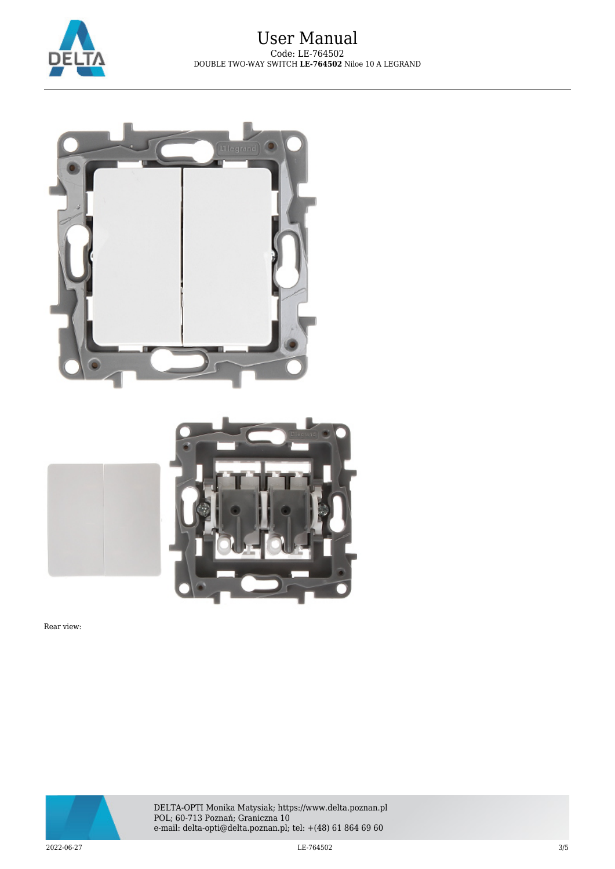



Rear view:



DELTA-OPTI Monika Matysiak; https://www.delta.poznan.pl POL; 60-713 Poznań; Graniczna 10 e-mail: delta-opti@delta.poznan.pl; tel: +(48) 61 864 69 60

2022-06-27 LE-764502 3/5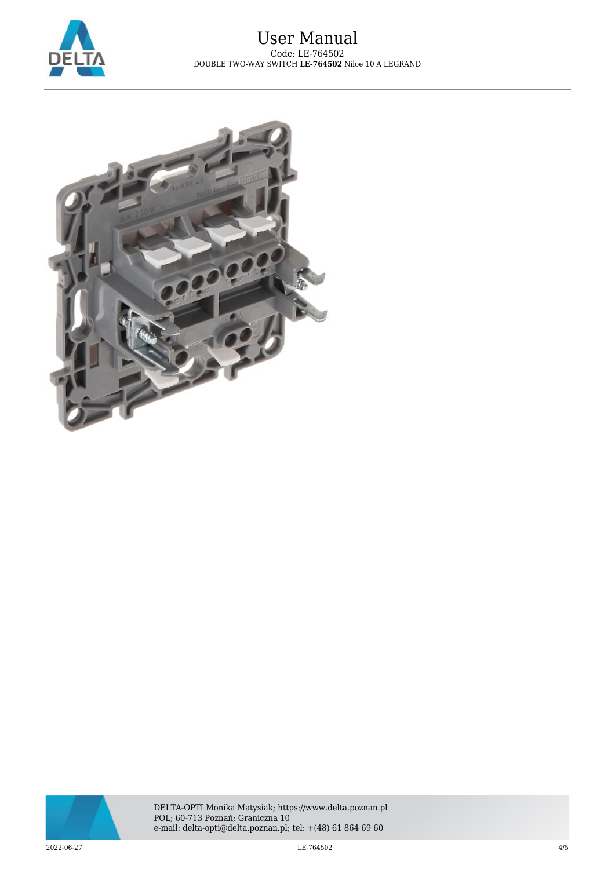